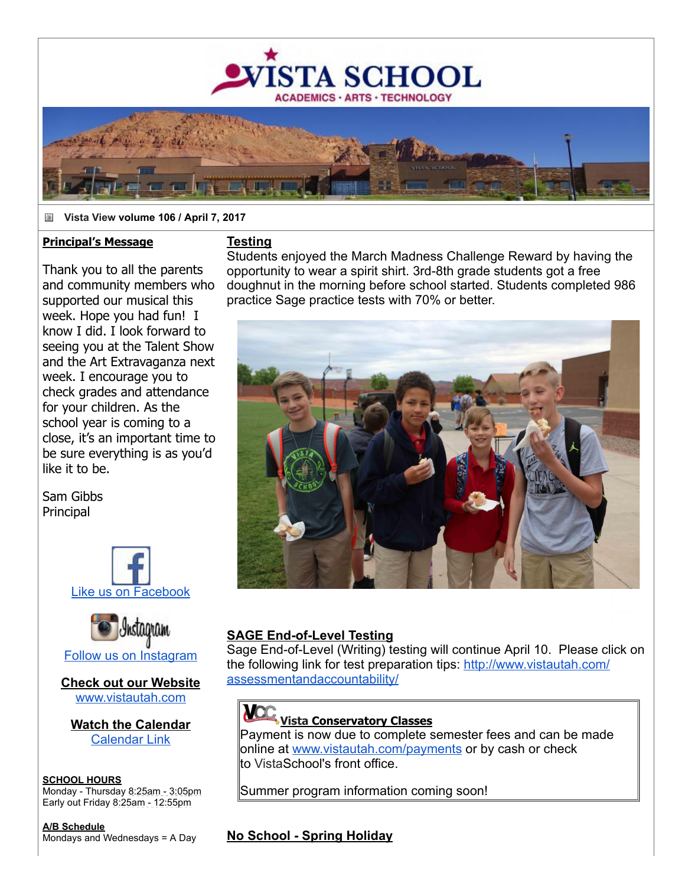

#### ä **Vista View volume 106 / April 7, 2017**

#### **Principal's Message**

Thank you to all the parents and community members who supported our musical this week. Hope you had fun! I know I did. I look forward to seeing you at the Talent Show and the Art Extravaganza next week. I encourage you to check grades and attendance for your children. As the school year is coming to a close, it's an important time to be sure everything is as you'd like it to be.

Sam Gibbs **Principal** 





**Check out our Website** [www.vistautah.com](http://track.spe.schoolmessenger.com/f/a/FD1gswmRd39EBq1c3mV4ow~~/AAAAAQA~/RgRayTU0P0EIAOxzRnomxD9XB3NjaG9vbG1YBAAAAABCCgADtAHoWLhY18tSFG1yb3dhbkB2aXN0YXV0YWguY29tCVEEAAAAAEQYaHR0cDovL3d3dy52aXN0YXV0YWguY29tR6d7ImN1c3RvbWVyaWQiOiI4NzQ2IiwiZW52IjoicHJvZCIsInNlbnRUaW1lTXMiOiIxNDkxNTk5Nzc2ODA4Iiwic2VxdWVuY2UiOiIwIiwidXNlcmlkIjoiMiIsInNoYXJkaWQiOiIxIiwiam9iaWQiOiI2ODMiLCJwZXJzb25pZCI6IjM3MDA0IiwiZW1haWxTb3VyY2UiOiJDVVNUT01FUl9KT0IifQ~~)

**Watch the Calendar** [Calendar Link](http://track.spe.schoolmessenger.com/f/a/tGtze1FLIPqrX_8b7tixjg~~/AAAAAQA~/RgRayTU0P0EIAOxzRnomxD9XB3NjaG9vbG1YBAAAAABCCgADtAHoWLhY18tSFG1yb3dhbkB2aXN0YXV0YWguY29tCVEEAAAAAEQiaHR0cDovL3d3dy52aXN0YXV0YWguY29tL2NhbGVuZGFyL0eneyJzaGFyZGlkIjoiMSIsImpvYmlkIjoiNjgzIiwiY3VzdG9tZXJpZCI6Ijg3NDYiLCJzZW50VGltZU1zIjoiMTQ5MTU5OTc3NjgwOCIsImVtYWlsU291cmNlIjoiQ1VTVE9NRVJfSk9CIiwidXNlcmlkIjoiMiIsInNlcXVlbmNlIjoiMCIsImVudiI6InByb2QiLCJwZXJzb25pZCI6IjM3MDA0In0~)

#### **SCHOOL HOURS** Monday - Thursday 8:25am - 3:05pm Early out Friday 8:25am 12:55pm

**A/B Schedule** Mondays and Wednesdays = A Day

#### **Testing**

Students enjoyed the March Madness Challenge Reward by having the opportunity to wear a spirit shirt. 3rd-8th grade students got a free doughnut in the morning before school started. Students completed 986 practice Sage practice tests with 70% or better.



#### **SAGE End-of-Level Testing**

Sage End-of-Level (Writing) testing will continue April 10. Please click on [the following link for test preparation tips:](http://track.spe.schoolmessenger.com/f/a/BAa32BQX-s6022ZMpPwMzA~~/AAAAAQA~/RgRayTU0P0EIAOxzRnomxD9XB3NjaG9vbG1YBAAAAABCCgADtAHoWLhY18tSFG1yb3dhbkB2aXN0YXV0YWguY29tCVEEAAAAAEQ1aHR0cDovL3d3dy52aXN0YXV0YWguY29tL2Fzc2Vzc21lbnRhbmRhY2NvdW50YWJpbGl0eS9Hp3siY3VzdG9tZXJpZCI6Ijg3NDYiLCJlbnYiOiJwcm9kIiwic2VudFRpbWVNcyI6IjE0OTE1OTk3NzY4MDgiLCJzaGFyZGlkIjoiMSIsImVtYWlsU291cmNlIjoiQ1VTVE9NRVJfSk9CIiwiam9iaWQiOiI2ODMiLCJzZXF1ZW5jZSI6IjAiLCJ1c2VyaWQiOiIyIiwicGVyc29uaWQiOiIzNzAwNCJ9) http://www.vistautah.com/ assessmentandaccountability/

## **Vista Conservatory Classes**

Payment is now due to complete semester fees and can be made online at [www.vistautah.com/payments](http://track.spe.schoolmessenger.com/f/a/M-XdU_erAII9clQ8dfhK5w~~/AAAAAQA~/RgRayTU0P0EIAOxzRnomxD9XB3NjaG9vbG1YBAAAAABCCgADtAHoWLhY18tSFG1yb3dhbkB2aXN0YXV0YWguY29tCVEEAAAAAEQhaHR0cDovL3d3dy52aXN0YXV0YWguY29tL3BheW1lbnRzR6d7ImN1c3RvbWVyaWQiOiI4NzQ2Iiwic2hhcmRpZCI6IjEiLCJ1c2VyaWQiOiIyIiwic2VudFRpbWVNcyI6IjE0OTE1OTk3NzY4MDgiLCJlbWFpbFNvdXJjZSI6IkNVU1RPTUVSX0pPQiIsInNlcXVlbmNlIjoiMCIsImVudiI6InByb2QiLCJwZXJzb25pZCI6IjM3MDA0Iiwiam9iaWQiOiI2ODMifQ~~) or by cash or check to VistaSchool's front office.

Summer program information coming soon!

#### **No School - Spring Holiday**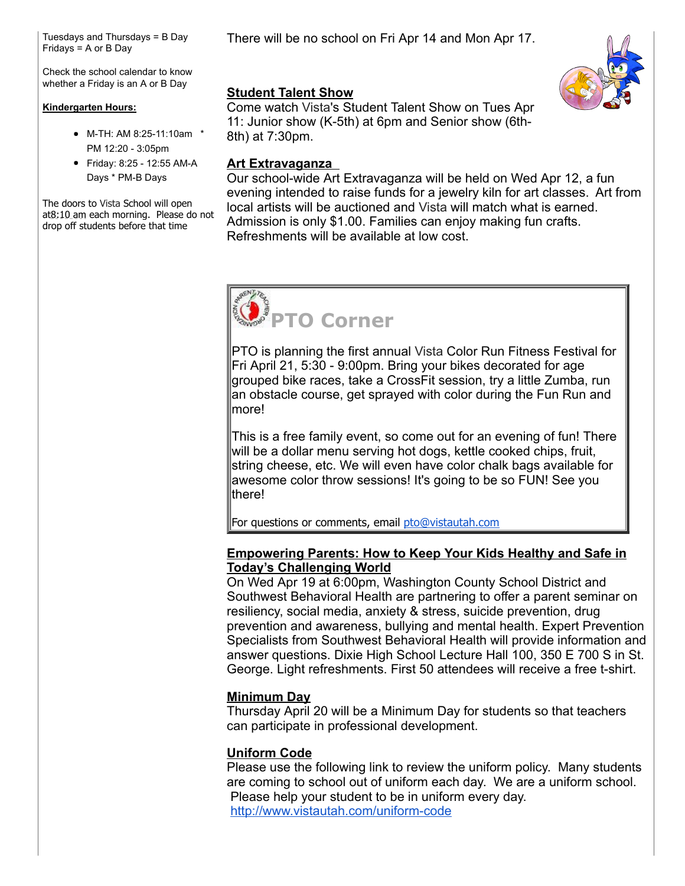Tuesdays and Thursdays = B Day Fridays = A or B Day

Check the school calendar to know whether a Friday is an A or B Day

#### **Kindergarten Hours:**

- M-TH: AM 8:25-11:10am \* PM 12:20 3:05pm
- Friday: 8:25 12:55 AM-A Days \* PM-B Days

The doors to Vista School will open at8:10 am each morning. Please do not drop off students before that time

There will be no school on Fri Apr 14 and Mon Apr 17.



#### **Student Talent Show**

Come watch Vista's Student Talent Show on Tues Apr 11: Junior show (K-5th) at 6pm and Senior show (6th-8th) at 7:30pm.

#### **Art Extravaganza**

Our school-wide Art Extravaganza will be held on Wed Apr 12, a fun evening intended to raise funds for a jewelry kiln for art classes. Art from local artists will be auctioned and Vista will match what is earned. Admission is only \$1.00. Families can enjoy making fun crafts. Refreshments will be available at low cost.

# **PTO Corner**

PTO is planning the first annual Vista Color Run Fitness Festival for Fri April 21, 5:30 - 9:00pm. Bring your bikes decorated for age grouped bike races, take a CrossFit session, try a little Zumba, run an obstacle course, get sprayed with color during the Fun Run and more!

This is a free family event, so come out for an evening of fun! There will be a dollar menu serving hot dogs, kettle cooked chips, fruit, string cheese, etc. We will even have color chalk bags available for awesome color throw sessions! It's going to be so FUN! See you there!

For questions or comments, email [pto@vistautah.com](mailto:pto@vistautah.com)

#### **Empowering Parents: How to Keep Your Kids Healthy and Safe in Today's Challenging World**

On Wed Apr 19 at 6:00pm, Washington County School District and Southwest Behavioral Health are partnering to offer a parent seminar on resiliency, social media, anxiety & stress, suicide prevention, drug prevention and awareness, bullying and mental health. Expert Prevention Specialists from Southwest Behavioral Health will provide information and answer questions. Dixie High School Lecture Hall 100, 350 E 700 S in St. George. Light refreshments. First 50 attendees will receive a free t-shirt.

### **Minimum Day**

Thursday April 20 will be a Minimum Day for students so that teachers can participate in professional development.

#### **Uniform Code**

Please use the following link to review the uniform policy. Many students are coming to school out of uniform each day. We are a uniform school. Please help your student to be in uniform every day. http://www.vistautah.com/uniform-code